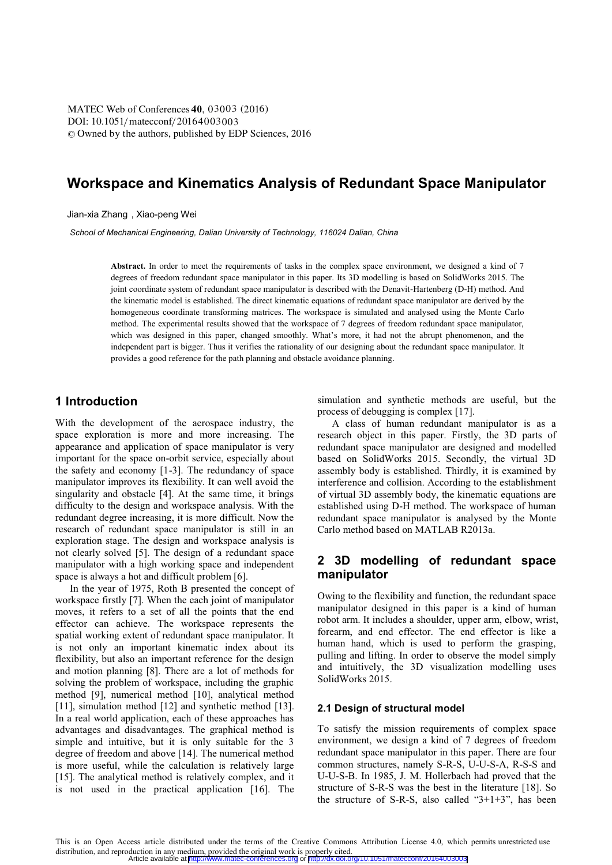**DOI:** 10.1051/ mateconf/20164003003 © Owned by the authors, published by EDP Sciences, 2016 MATEC Web of Conferences 40, 03003 (2016)

# **Workspace and Kinematics Analysis of Redundant Space Manipulator**

Jian-xia Zhang , Xiao-peng Wei

*School of Mechanical Engineering, Dalian University of Technology, 116024 Dalian, China* 

Abstract. In order to meet the requirements of tasks in the complex space environment, we designed a kind of 7 degrees of freedom redundant space manipulator in this paper. Its 3D modelling is based on SolidWorks 2015. The joint coordinate system of redundant space manipulator is described with the Denavit-Hartenberg (D-H) method. And the kinematic model is established. The direct kinematic equations of redundant space manipulator are derived by the homogeneous coordinate transforming matrices. The workspace is simulated and analysed using the Monte Carlo method. The experimental results showed that the workspace of 7 degrees of freedom redundant space manipulator, which was designed in this paper, changed smoothly. What's more, it had not the abrupt phenomenon, and the independent part is bigger. Thus it verifies the rationality of our designing about the redundant space manipulator. It provides a good reference for the path planning and obstacle avoidance planning.

## **1 Introduction**

With the development of the aerospace industry, the space exploration is more and more increasing. The appearance and application of space manipulator is very important for the space on-orbit service, especially about the safety and economy [1-3]. The redundancy of space manipulator improves its flexibility. It can well avoid the singularity and obstacle [4]. At the same time, it brings difficulty to the design and workspace analysis. With the redundant degree increasing, it is more difficult. Now the research of redundant space manipulator is still in an exploration stage. The design and workspace analysis is not clearly solved [5]. The design of a redundant space manipulator with a high working space and independent space is always a hot and difficult problem [6].

In the year of 1975, Roth B presented the concept of workspace firstly [7]. When the each joint of manipulator moves, it refers to a set of all the points that the end effector can achieve. The workspace represents the spatial working extent of redundant space manipulator. It is not only an important kinematic index about its flexibility, but also an important reference for the design and motion planning [8]. There are a lot of methods for solving the problem of workspace, including the graphic method [9], numerical method [10], analytical method [11], simulation method [12] and synthetic method [13]. In a real world application, each of these approaches has advantages and disadvantages. The graphical method is simple and intuitive, but it is only suitable for the 3 degree of freedom and above [14]. The numerical method is more useful, while the calculation is relatively large [15]. The analytical method is relatively complex, and it is not used in the practical application [16]. The

simulation and synthetic methods are useful, but the process of debugging is complex [17].

A class of human redundant manipulator is as a research object in this paper. Firstly, the 3D parts of redundant space manipulator are designed and modelled based on SolidWorks 2015. Secondly, the virtual 3D assembly body is established. Thirdly, it is examined by interference and collision. According to the establishment of virtual 3D assembly body, the kinematic equations are established using D-H method. The workspace of human redundant space manipulator is analysed by the Monte Carlo method based on MATLAB R2013a.

## **2 3D modelling of redundant space manipulator**

Owing to the flexibility and function, the redundant space manipulator designed in this paper is a kind of human robot arm. It includes a shoulder, upper arm, elbow, wrist, forearm, and end effector. The end effector is like a human hand, which is used to perform the grasping, pulling and lifting. In order to observe the model simply and intuitively, the 3D visualization modelling uses SolidWorks 2015.

#### **2.1 Design of structural model**

To satisfy the mission requirements of complex space environment, we design a kind of 7 degrees of freedom redundant space manipulator in this paper. There are four common structures, namely S-R-S, U-U-S-A, R-S-S and U-U-S-B. In 1985, J. M. Hollerbach had proved that the structure of S-R-S was the best in the literature [18]. So the structure of S-R-S, also called "3+1+3", has been

This is an Open Access article distributed under the terms of the Creative Commons Attribution License 4.0, which permits unrestricted use distribution, and reproduction in any medium, provided the original work is properly cited. Article available at <http://www.matec-conferences.org> or <http://dx.doi.org/10.1051/matecconf/20164003003>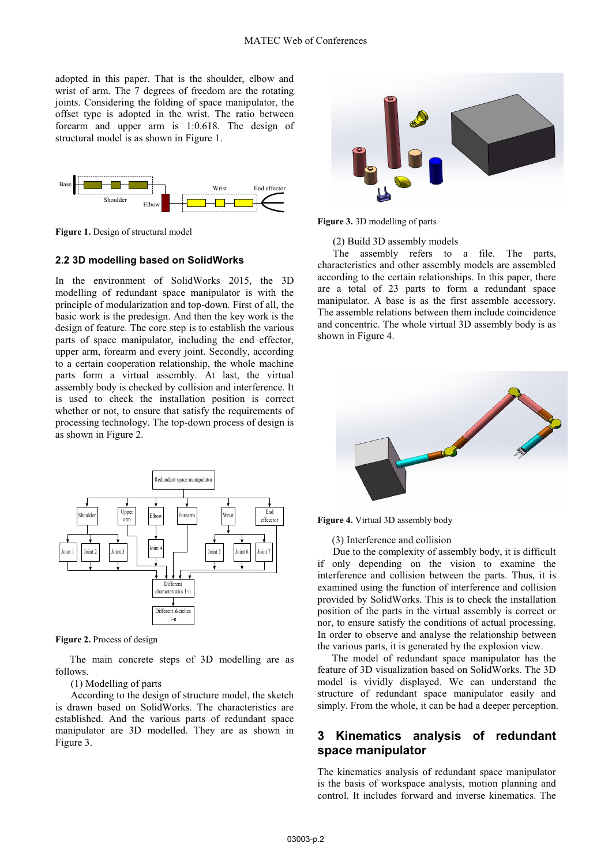adopted in this paper. That is the shoulder, elbow and wrist of arm. The 7 degrees of freedom are the rotating joints. Considering the folding of space manipulator, the offset type is adopted in the wrist. The ratio between forearm and upper arm is 1:0.618. The design of structural model is as shown in Figure 1.



**Figure 1.** Design of structural model

#### **2.2 3D modelling based on SolidWorks**

In the environment of SolidWorks 2015, the 3D modelling of redundant space manipulator is with the principle of modularization and top-down. First of all, the basic work is the predesign. And then the key work is the design of feature. The core step is to establish the various parts of space manipulator, including the end effector, upper arm, forearm and every joint. Secondly, according to a certain cooperation relationship, the whole machine parts form a virtual assembly. At last, the virtual assembly body is checked by collision and interference. It is used to check the installation position is correct whether or not, to ensure that satisfy the requirements of processing technology. The top-down process of design is as shown in Figure 2.



**Figure 2.** Process of design

The main concrete steps of 3D modelling are as follows.

### (1) Modelling of parts

According to the design of structure model, the sketch is drawn based on SolidWorks. The characteristics are established. And the various parts of redundant space manipulator are 3D modelled. They are as shown in Figure 3.



**Figure 3.** 3D modelling of parts

(2) Build 3D assembly models

The assembly refers to a file. The parts, characteristics and other assembly models are assembled according to the certain relationships. In this paper, there are a total of 23 parts to form a redundant space manipulator. A base is as the first assemble accessory. The assemble relations between them include coincidence and concentric. The whole virtual 3D assembly body is as shown in Figure 4.



**Figure 4.** Virtual 3D assembly body

(3) Interference and collision

Due to the complexity of assembly body, it is difficult if only depending on the vision to examine the interference and collision between the parts. Thus, it is examined using the function of interference and collision provided by SolidWorks. This is to check the installation position of the parts in the virtual assembly is correct or nor, to ensure satisfy the conditions of actual processing. In order to observe and analyse the relationship between the various parts, it is generated by the explosion view.

The model of redundant space manipulator has the feature of 3D visualization based on SolidWorks. The 3D model is vividly displayed. We can understand the structure of redundant space manipulator easily and simply. From the whole, it can be had a deeper perception.

## **3 Kinematics analysis of redundant space manipulator**

The kinematics analysis of redundant space manipulator is the basis of workspace analysis, motion planning and control. It includes forward and inverse kinematics. The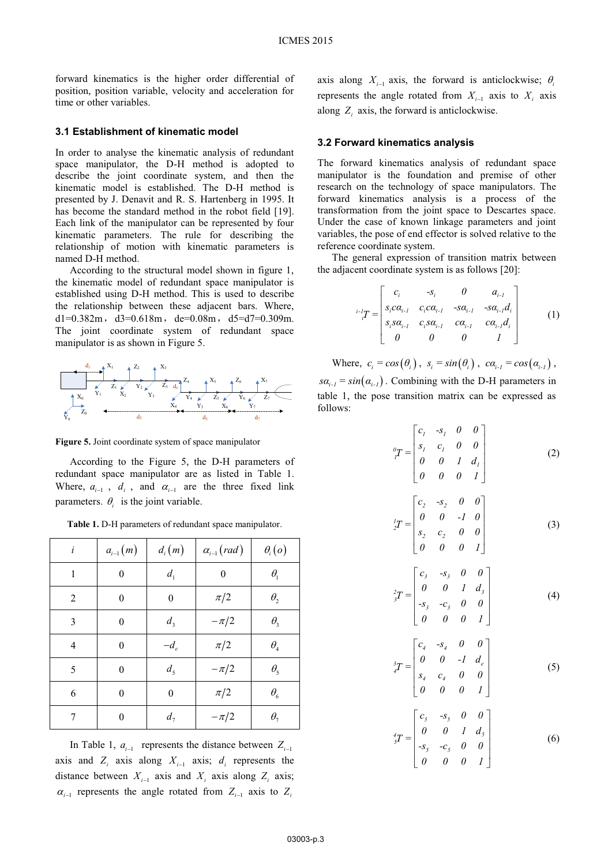forward kinematics is the higher order differential of position, position variable, velocity and acceleration for time or other variables.

#### **3.1 Establishment of kinematic model**

In order to analyse the kinematic analysis of redundant space manipulator, the D-H method is adopted to describe the joint coordinate system, and then the kinematic model is established. The D-H method is presented by J. Denavit and R. S. Hartenberg in 1995. It has become the standard method in the robot field [19]. Each link of the manipulator can be represented by four kinematic parameters. The rule for describing the relationship of motion with kinematic parameters is named D-H method.

According to the structural model shown in figure 1, the kinematic model of redundant space manipulator is established using D-H method. This is used to describe the relationship between these adjacent bars. Where, d1=0.382m, d3=0.618m, de=0.08m, d5=d7=0.309m. The joint coordinate system of redundant space manipulator is as shown in Figure 5.



**Figure 5.** Joint coordinate system of space manipulator

According to the Figure 5, the D-H parameters of redundant space manipulator are as listed in Table 1. Where,  $a_{i-1}$ ,  $d_i$ , and  $a_{i-1}$  are the three fixed link parameters.  $\theta_i$  is the joint variable.

| i              | $a_{i-1}(m)$     | $d_i(m)$         | $\alpha_{i-1}(rad)$ | $\theta_i(o)$                   |
|----------------|------------------|------------------|---------------------|---------------------------------|
| 1              | $\boldsymbol{0}$ | $d_1$            | $\boldsymbol{0}$    | $\theta_{1}$                    |
| $\overline{2}$ | $\boldsymbol{0}$ | $\boldsymbol{0}$ | $\pi/2$             | $\theta_{\scriptscriptstyle 2}$ |
| 3              | $\boldsymbol{0}$ | $d_3$            | $-\pi/2$            | $\theta_{3}$                    |
| 4              | $\boldsymbol{0}$ | $-d_e$           | $\pi/2$             | $\theta_{\scriptscriptstyle 4}$ |
| 5              | $\boldsymbol{0}$ | d <sub>5</sub>   | $-\pi/2$            | $\theta_{\rm s}$                |
| 6              | $\boldsymbol{0}$ | $\boldsymbol{0}$ | $\pi/2$             | $\theta_{\scriptscriptstyle 6}$ |
| 7              | $\boldsymbol{0}$ | $d_{\tau}$       | $-\pi/2$            | $\theta_{\rm 7}$                |

**Table 1.** D-H parameters of redundant space manipulator.

In Table 1,  $a_{i-1}$  represents the distance between  $Z_{i-1}$ axis and  $Z_i$  axis along  $X_{i-1}$  axis;  $d_i$  represents the distance between  $X_{i-1}$  axis and  $X_i$  axis along  $Z_i$  axis;  $\alpha_{i-1}$  represents the angle rotated from  $Z_{i-1}$  axis to  $Z_i$ 

axis along  $X_{i-1}$  axis, the forward is anticlockwise;  $\theta_i$ represents the angle rotated from  $X_{i-1}$  axis to  $X_i$  axis along  $Z_i$  axis, the forward is anticlockwise.

#### **3.2 Forward kinematics analysis**

The forward kinematics analysis of redundant space manipulator is the foundation and premise of other research on the technology of space manipulators. The forward kinematics analysis is a process of the transformation from the joint space to Descartes space. Under the case of known linkage parameters and joint variables, the pose of end effector is solved relative to the reference coordinate system.

The general expression of transition matrix between the adjacent coordinate system is as follows [20]:

$$
{}^{i}I_{i}T = \begin{bmatrix} c_{i} & -s_{i} & 0 & a_{i-1} \\ s_{i}c\alpha_{i-1} & c_{i}c\alpha_{i-1} & -s\alpha_{i-1} & -s\alpha_{i-1}d_{i} \\ s_{i}s\alpha_{i-1} & c_{i}s\alpha_{i-1} & c\alpha_{i-1} & c\alpha_{i-1}d_{i} \\ 0 & 0 & 0 & 1 \end{bmatrix}
$$
 (1)

Where,  $c_i = cos(\theta_i)$ ,  $s_i = sin(\theta_i)$ ,  $ca_{i-1} = cos(\alpha_{i-1})$ ,  $s\alpha_{i-1} = \sin(\alpha_{i-1})$ . Combining with the D-H parameters in table 1, the pose transition matrix can be expressed as follows:

$$
{}_{j}^{0}T = \begin{bmatrix} c_{1} & -s_{1} & 0 & 0 \\ s_{1} & c_{1} & 0 & 0 \\ 0 & 0 & 1 & d_{1} \\ 0 & 0 & 0 & 1 \end{bmatrix}
$$
 (2)

$$
{}_{2}^{1}T = \begin{bmatrix} c_{2} & -s_{2} & 0 & 0 \\ 0 & 0 & -1 & 0 \\ s_{2} & c_{2} & 0 & 0 \\ 0 & 0 & 0 & 1 \end{bmatrix}
$$
 (3)

$$
{}_{3}^{2}T = \begin{bmatrix} c_{3} & -s_{3} & 0 & 0 \\ 0 & 0 & 1 & d_{3} \\ -s_{3} & -c_{3} & 0 & 0 \\ 0 & 0 & 0 & 1 \end{bmatrix}
$$
 (4)

$$
{}_{i}^{3}T = \begin{bmatrix} c_{4} & -s_{4} & 0 & 0 \\ 0 & 0 & -1 & d_{e} \\ s_{4} & c_{4} & 0 & 0 \\ 0 & 0 & 0 & 1 \end{bmatrix}
$$
 (5)

$$
{}_{j}^{4}T = \begin{bmatrix} c_{5} & -s_{5} & 0 & 0 \\ 0 & 0 & 1 & d_{5} \\ -s_{5} & -c_{5} & 0 & 0 \\ 0 & 0 & 0 & 1 \end{bmatrix}
$$
 (6)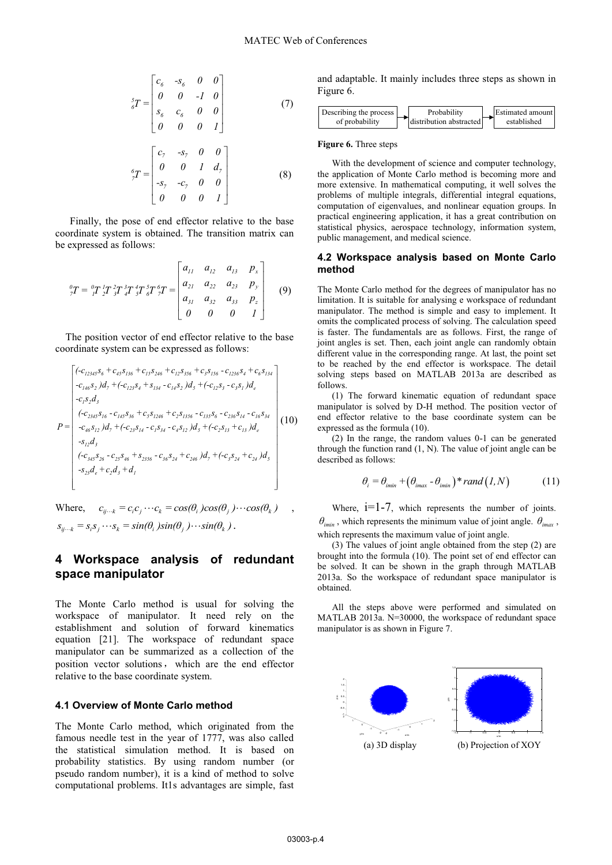$$
{}_{\delta}^{5}T = \begin{bmatrix} c_{6} & -s_{6} & 0 & 0 \\ 0 & 0 & -1 & 0 \\ s_{6} & c_{6} & 0 & 0 \\ 0 & 0 & 0 & 1 \end{bmatrix}
$$
(7)

$$
{}_{?}^{6}T = \begin{bmatrix} c_7 & -s_7 & 0 & 0 \\ 0 & 0 & 1 & d_7 \\ -s_7 & -c_7 & 0 & 0 \\ 0 & 0 & 0 & 1 \end{bmatrix}
$$
 (8)

Finally, the pose of end effector relative to the base coordinate system is obtained. The transition matrix can be expressed as follows:

$$
{}_{7}^{0}T = {}_{1}^{0}T {}_{2}^{1}T {}_{3}^{2}T {}_{4}^{3}T {}_{5}^{4}T {}_{5}^{5}T {}_{7}^{6}T = \begin{bmatrix} a_{11} & a_{12} & a_{13} & p_{x} \\ a_{21} & a_{22} & a_{23} & p_{y} \\ a_{31} & a_{32} & a_{33} & p_{z} \\ 0 & 0 & 0 & 1 \end{bmatrix}
$$
(9)

The position vector of end effector relative to the base coordinate system can be expressed as follows:

$$
P = \begin{bmatrix} (-c_{12345}S_6 + c_{45}S_{136} + c_{15}S_{246} + c_{12}S_{356} + c_{3}S_{156} - c_{1236}S_4 + c_{6}S_{134} \\ -c_{146}S_2) d_7 + (-c_{123}S_4 + S_{134} - c_{14}S_2) d_5 + (-c_{12}S_3 - c_3S_1) d_e \\ -c_1S_2d_3 \\ (-c_{2345}S_{16} - c_{145}S_{36} + c_5S_{1246} + c_2S_{1356} - c_{135}S_6 - c_{236}S_{14} - c_{16}S_{34} \\ -c_{46}S_{12}) d_7 + (-c_{23}S_{14} - c_1S_{34} - c_4S_{12}) d_5 + (-c_2S_{13} + c_{13}) d_e \\ -s_{12}d_3 \\ (-c_{345}S_{26} - c_{25}S_{46} + s_{2356} - c_{36}S_{24} + c_{246}) d_7 + (-c_3S_{24} + c_{24}) d_5 \\ -s_{23}d_e + c_2d_3 + d_1 \end{bmatrix} (10)
$$

Where,  $c_{ij\cdots k} = c_i c_j \cdots c_k = cos(\theta_i) cos(\theta_j) \cdots cos(\theta_k)$ ,  $s_{ij\cdots k} = s_i s_j \cdots s_k = sin(\theta_i) sin(\theta_j) \cdots sin(\theta_k)$ .

## **4 Workspace analysis of redundant space manipulator**

The Monte Carlo method is usual for solving the workspace of manipulator. It need rely on the establishment and solution of forward kinematics equation [21]. The workspace of redundant space manipulator can be summarized as a collection of the position vector solutions, which are the end effector relative to the base coordinate system.

#### **4.1 Overview of Monte Carlo method**

The Monte Carlo method, which originated from the famous needle test in the year of 1777, was also called the statistical simulation method. It is based on probability statistics. By using random number (or pseudo random number), it is a kind of method to solve computational problems. It1s advantages are simple, fast

and adaptable. It mainly includes three steps as shown in Figure 6.



#### **Figure 6.** Three steps

With the development of science and computer technology, the application of Monte Carlo method is becoming more and more extensive. In mathematical computing, it well solves the problems of multiple integrals, differential integral equations, computation of eigenvalues, and nonlinear equation groups. In practical engineering application, it has a great contribution on statistical physics, aerospace technology, information system, public management, and medical science.

#### **4.2 Workspace analysis based on Monte Carlo method**

The Monte Carlo method for the degrees of manipulator has no limitation. It is suitable for analysing e workspace of redundant manipulator. The method is simple and easy to implement. It omits the complicated process of solving. The calculation speed is faster. The fundamentals are as follows. First, the range of joint angles is set. Then, each joint angle can randomly obtain different value in the corresponding range. At last, the point set to be reached by the end effector is workspace. The detail solving steps based on MATLAB 2013a are described as follows.

(1) The forward kinematic equation of redundant space manipulator is solved by D-H method. The position vector of end effector relative to the base coordinate system can be expressed as the formula (10).

(2) In the range, the random values 0-1 can be generated through the function rand  $(1, N)$ . The value of joint angle can be described as follows:

$$
\theta_i = \theta_{\text{imin}} + \left(\theta_{\text{imax}} - \theta_{\text{imin}}\right) * rand\left(I, N\right) \tag{11}
$$

Where,  $i=1-7$ , which represents the number of joints.  $\theta_{\text{imin}}$ , which represents the minimum value of joint angle.  $\theta_{\text{imor}}$ , which represents the maximum value of joint angle.

(3) The values of joint angle obtained from the step (2) are brought into the formula (10). The point set of end effector can be solved. It can be shown in the graph through MATLAB 2013a. So the workspace of redundant space manipulator is obtained.

All the steps above were performed and simulated on MATLAB 2013a. N=30000, the workspace of redundant space manipulator is as shown in Figure 7.